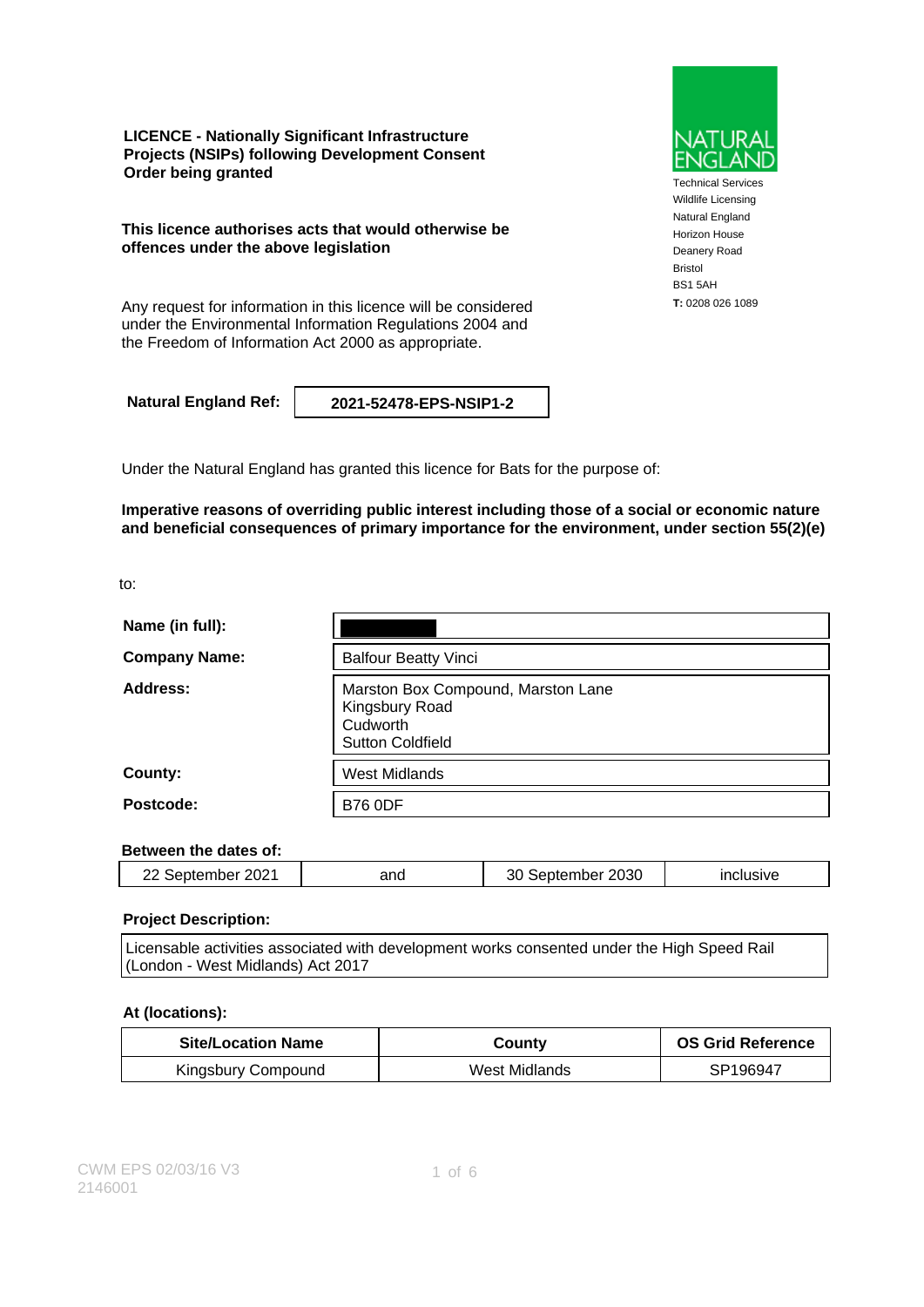**LICENCE - Nationally Significant Infrastructure Projects (NSIPs) following Development Consent Order being granted**

**This licence authorises acts that would otherwise be offences under the above legislation**

**T:** 0208 026 1089 Any request for information in this licence will be considered under the Environmental Information Regulations 2004 and the Freedom of Information Act 2000 as appropriate.

**Natural England Ref: 2021-52478-EPS-NSIP1-2**

Under the Natural England has granted this licence for Bats for the purpose of:

**Imperative reasons of overriding public interest including those of a social or economic nature and beneficial consequences of primary importance for the environment, under section 55(2)(e)**

to:

| Name (in full):      |                                                                                             |
|----------------------|---------------------------------------------------------------------------------------------|
| <b>Company Name:</b> | <b>Balfour Beatty Vinci</b>                                                                 |
| Address:             | Marston Box Compound, Marston Lane<br>Kingsbury Road<br>Cudworth<br><b>Sutton Coldfield</b> |
| County:              | <b>West Midlands</b>                                                                        |
| Postcode:            | <b>B76 0DF</b>                                                                              |

#### **Between the dates of:**

| 2021<br>Sentemner | anc | 2030<br>mer<br>י<br>,,,,, | $\sim$ $\sim$ $\sim$ $\sim$ |
|-------------------|-----|---------------------------|-----------------------------|
|                   |     |                           |                             |

#### **Project Description:**

| Licensable activities associated with development works consented under the High Speed Rail |  |
|---------------------------------------------------------------------------------------------|--|
| (London - West Midlands) Act 2017                                                           |  |

#### **At (locations):**

| <b>Site/Location Name</b> | Countv        | <b>OS Grid Reference</b> |
|---------------------------|---------------|--------------------------|
| Kingsbury Compound        | West Midlands | SP196947                 |



Technical Services Wildlife Licensing Natural England Horizon House Deanery Road Bristol BS1 5AH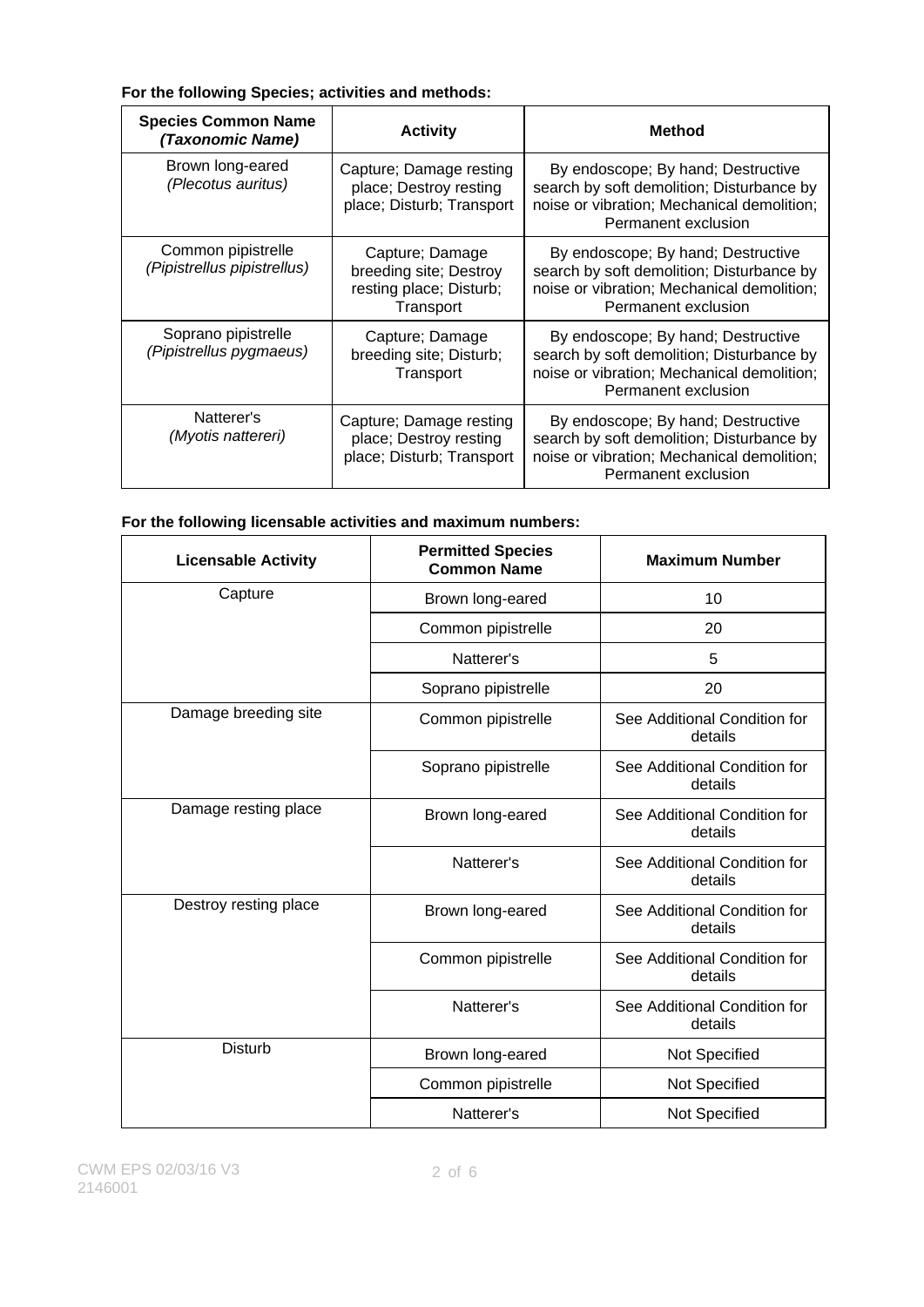### **For the following Species; activities and methods:**

| <b>Species Common Name</b><br>(Taxonomic Name)    | <b>Activity</b>                                                                   | <b>Method</b>                                                                                                                                        |
|---------------------------------------------------|-----------------------------------------------------------------------------------|------------------------------------------------------------------------------------------------------------------------------------------------------|
| Brown long-eared<br>(Plecotus auritus)            | Capture; Damage resting<br>place; Destroy resting<br>place; Disturb; Transport    | By endoscope; By hand; Destructive<br>search by soft demolition; Disturbance by<br>noise or vibration; Mechanical demolition;<br>Permanent exclusion |
| Common pipistrelle<br>(Pipistrellus pipistrellus) | Capture; Damage<br>breeding site; Destroy<br>resting place; Disturb;<br>Transport | By endoscope; By hand; Destructive<br>search by soft demolition; Disturbance by<br>noise or vibration; Mechanical demolition;<br>Permanent exclusion |
| Soprano pipistrelle<br>(Pipistrellus pygmaeus)    | Capture; Damage<br>breeding site; Disturb;<br>Transport                           | By endoscope; By hand; Destructive<br>search by soft demolition; Disturbance by<br>noise or vibration; Mechanical demolition;<br>Permanent exclusion |
| Natterer's<br>(Myotis nattereri)                  | Capture; Damage resting<br>place; Destroy resting<br>place; Disturb; Transport    | By endoscope; By hand; Destructive<br>search by soft demolition; Disturbance by<br>noise or vibration; Mechanical demolition;<br>Permanent exclusion |

# **For the following licensable activities and maximum numbers:**

| <b>Licensable Activity</b> | <b>Permitted Species</b><br><b>Common Name</b> | <b>Maximum Number</b>                   |
|----------------------------|------------------------------------------------|-----------------------------------------|
| Capture                    | Brown long-eared                               | 10                                      |
|                            | Common pipistrelle                             | 20                                      |
|                            | Natterer's                                     | 5                                       |
|                            | Soprano pipistrelle                            | 20                                      |
| Damage breeding site       | Common pipistrelle                             | See Additional Condition for<br>details |
|                            | Soprano pipistrelle                            | See Additional Condition for<br>details |
| Damage resting place       | Brown long-eared                               | See Additional Condition for<br>details |
|                            | Natterer's                                     | See Additional Condition for<br>details |
| Destroy resting place      | Brown long-eared                               | See Additional Condition for<br>details |
|                            | Common pipistrelle                             | See Additional Condition for<br>details |
|                            | Natterer's                                     | See Additional Condition for<br>details |
| <b>Disturb</b>             | Brown long-eared                               | Not Specified                           |
|                            | Common pipistrelle                             | Not Specified                           |
|                            | Natterer's                                     | Not Specified                           |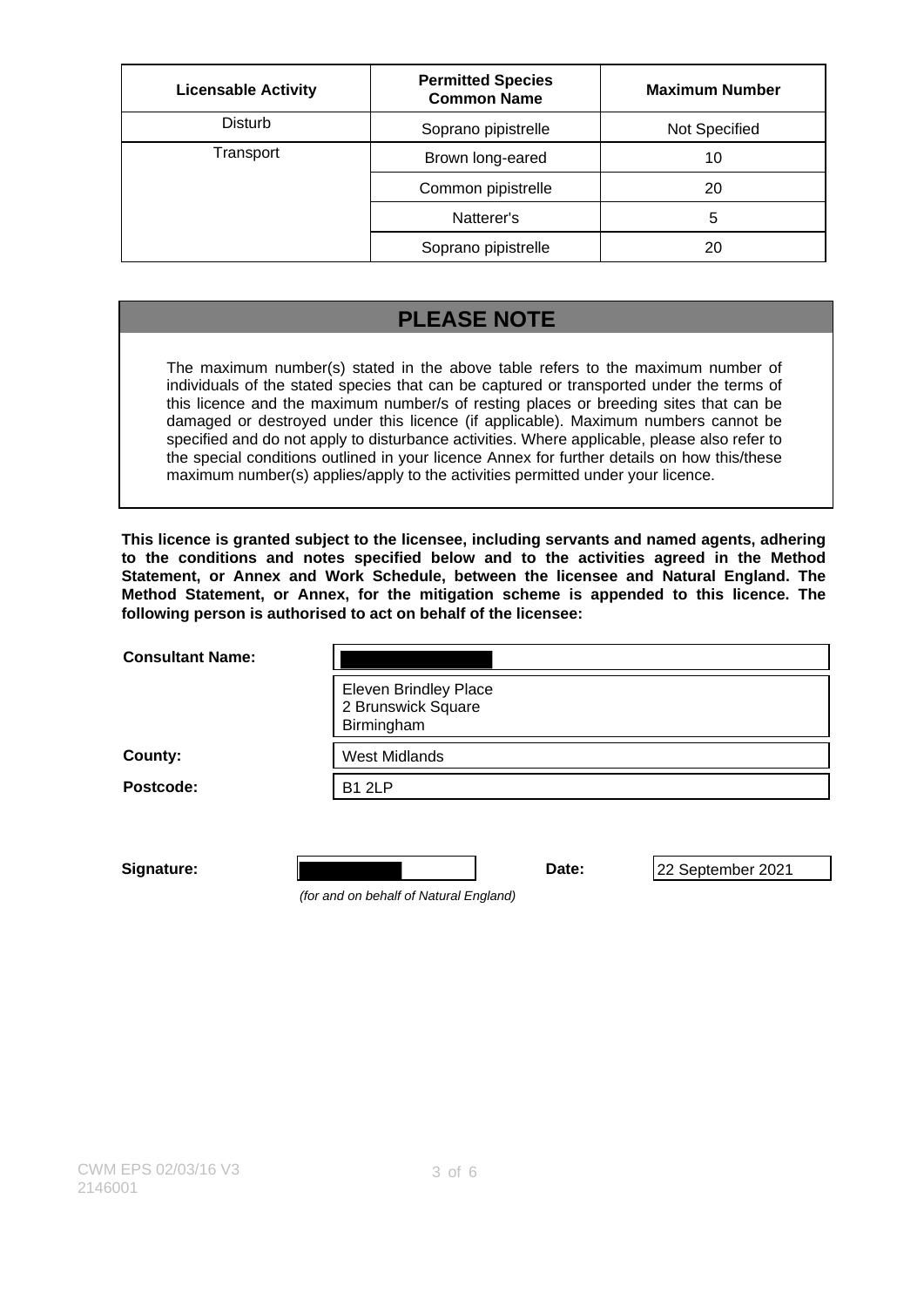| <b>Licensable Activity</b> | <b>Permitted Species</b><br><b>Common Name</b> | <b>Maximum Number</b> |
|----------------------------|------------------------------------------------|-----------------------|
| <b>Disturb</b>             | Soprano pipistrelle                            | Not Specified         |
| Transport                  | Brown long-eared                               | 10                    |
|                            | Common pipistrelle                             | 20                    |
|                            | Natterer's                                     | 5                     |
|                            | Soprano pipistrelle                            | 20                    |

## **PLEASE NOTE**

The maximum number(s) stated in the above table refers to the maximum number of individuals of the stated species that can be captured or transported under the terms of this licence and the maximum number/s of resting places or breeding sites that can be damaged or destroyed under this licence (if applicable). Maximum numbers cannot be specified and do not apply to disturbance activities. Where applicable, please also refer to the special conditions outlined in your licence Annex for further details on how this/these maximum number(s) applies/apply to the activities permitted under your licence.

**This licence is granted subject to the licensee, including servants and named agents, adhering to the conditions and notes specified below and to the activities agreed in the Method Statement, or Annex and Work Schedule, between the licensee and Natural England. The Method Statement, or Annex, for the mitigation scheme is appended to this licence. The following person is authorised to act on behalf of the licensee:**

| <b>Consultant Name:</b> |                                                                  |       |                   |
|-------------------------|------------------------------------------------------------------|-------|-------------------|
|                         | <b>Eleven Brindley Place</b><br>2 Brunswick Square<br>Birmingham |       |                   |
| County:                 | <b>West Midlands</b>                                             |       |                   |
| Postcode:               | <b>B1 2LP</b>                                                    |       |                   |
|                         |                                                                  |       |                   |
| Signature:              |                                                                  | Date: | 22 September 2021 |

(for and on behalf of Natural England)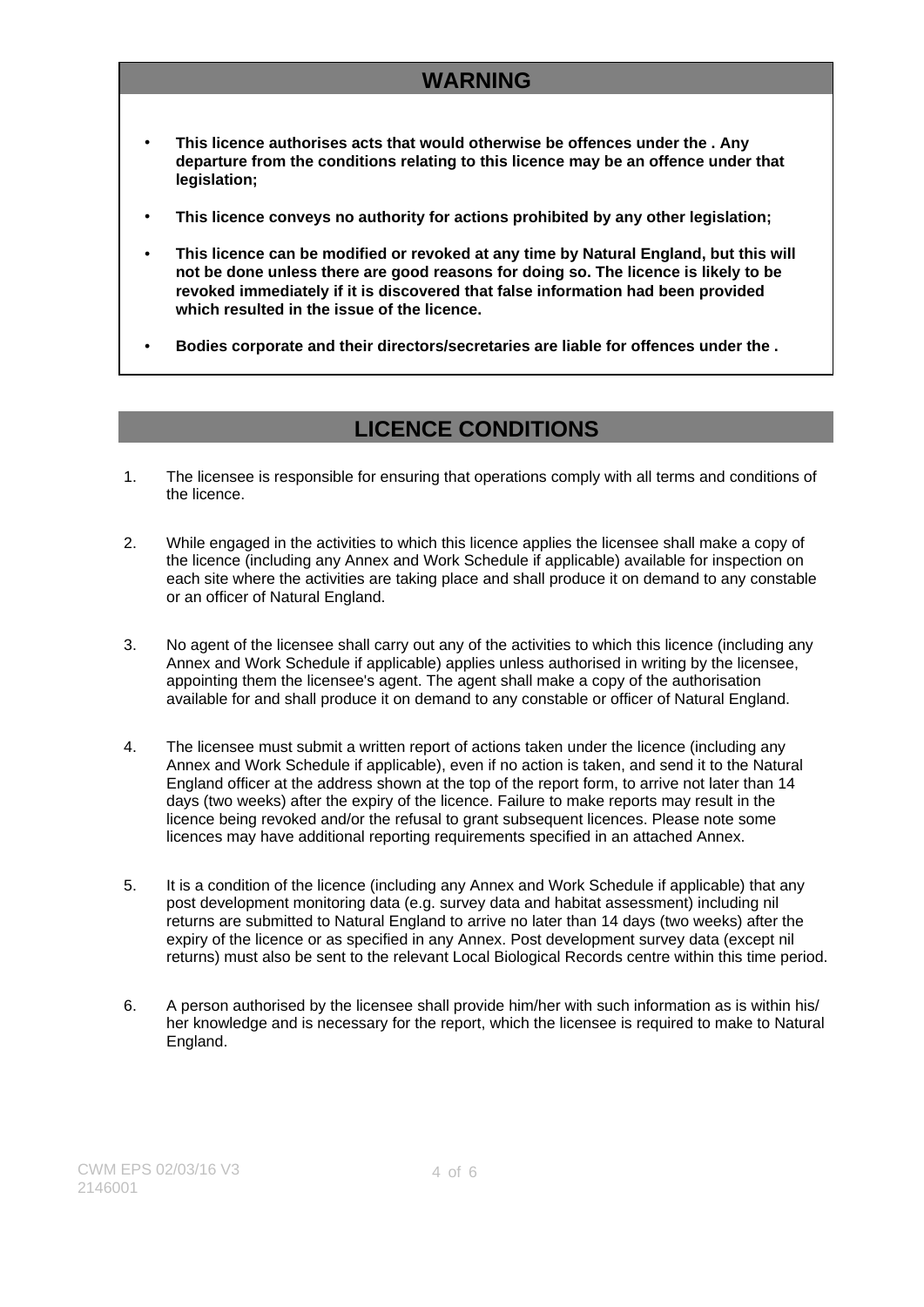# **WARNING**

- **This licence authorises acts that would otherwise be offences under the . Any departure from the conditions relating to this licence may be an offence under that legislation;**
- **This licence conveys no authority for actions prohibited by any other legislation;**
- **This licence can be modified or revoked at any time by Natural England, but this will not be done unless there are good reasons for doing so. The licence is likely to be revoked immediately if it is discovered that false information had been provided which resulted in the issue of the licence.**
- **Bodies corporate and their directors/secretaries are liable for offences under the .**

## **LICENCE CONDITIONS**

- 1. The licensee is responsible for ensuring that operations comply with all terms and conditions of the licence.
- 2. While engaged in the activities to which this licence applies the licensee shall make a copy of the licence (including any Annex and Work Schedule if applicable) available for inspection on each site where the activities are taking place and shall produce it on demand to any constable or an officer of Natural England.
- 3. No agent of the licensee shall carry out any of the activities to which this licence (including any Annex and Work Schedule if applicable) applies unless authorised in writing by the licensee, appointing them the licensee's agent. The agent shall make a copy of the authorisation available for and shall produce it on demand to any constable or officer of Natural England.
- 4. The licensee must submit a written report of actions taken under the licence (including any Annex and Work Schedule if applicable), even if no action is taken, and send it to the Natural England officer at the address shown at the top of the report form, to arrive not later than 14 days (two weeks) after the expiry of the licence. Failure to make reports may result in the licence being revoked and/or the refusal to grant subsequent licences. Please note some licences may have additional reporting requirements specified in an attached Annex.
- 5. It is a condition of the licence (including any Annex and Work Schedule if applicable) that any post development monitoring data (e.g. survey data and habitat assessment) including nil returns are submitted to Natural England to arrive no later than 14 days (two weeks) after the expiry of the licence or as specified in any Annex. Post development survey data (except nil returns) must also be sent to the relevant Local Biological Records centre within this time period.
- 6. A person authorised by the licensee shall provide him/her with such information as is within his/ her knowledge and is necessary for the report, which the licensee is required to make to Natural England.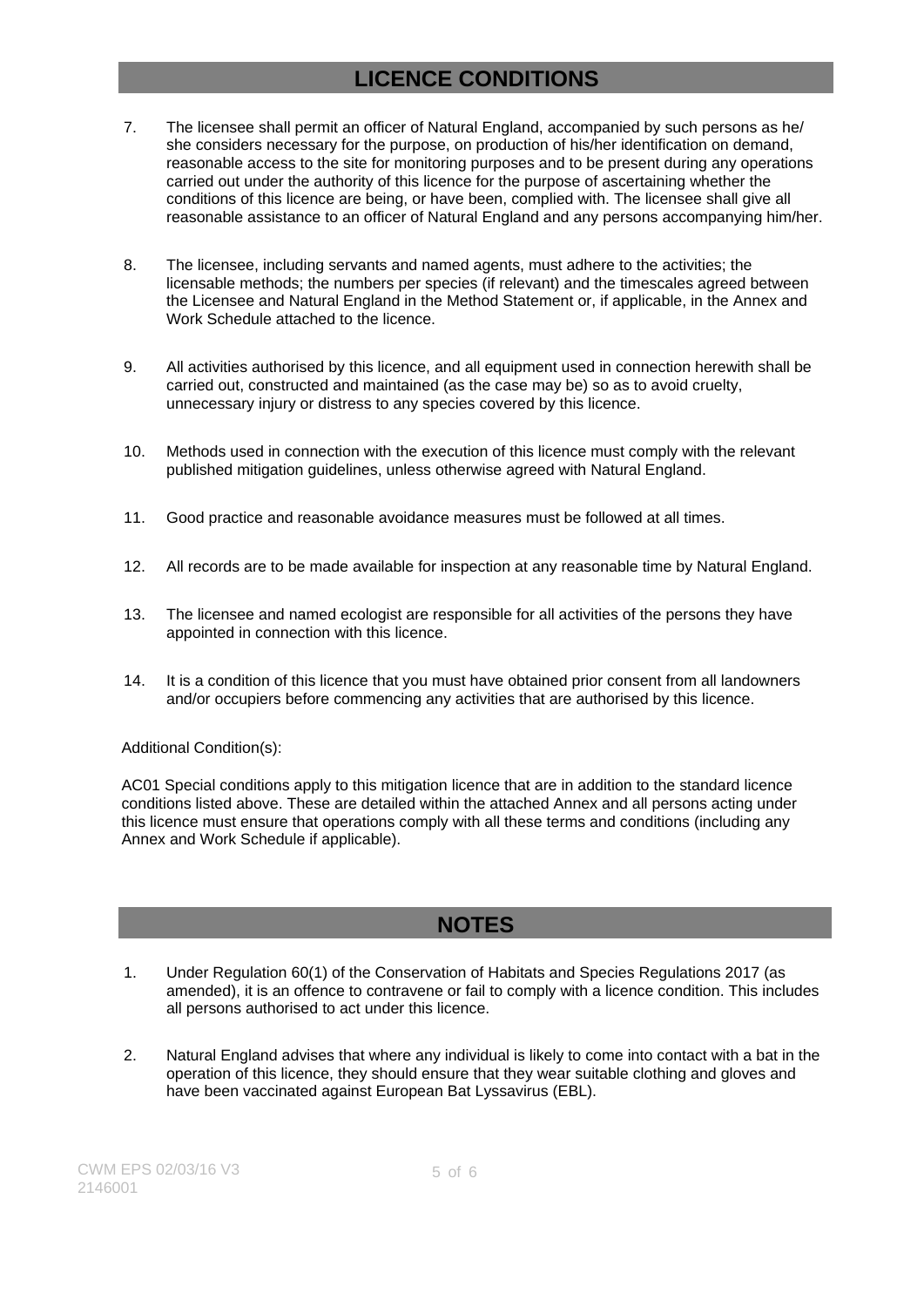## **LICENCE CONDITIONS**

- 7. The licensee shall permit an officer of Natural England, accompanied by such persons as he/ she considers necessary for the purpose, on production of his/her identification on demand, reasonable access to the site for monitoring purposes and to be present during any operations carried out under the authority of this licence for the purpose of ascertaining whether the conditions of this licence are being, or have been, complied with. The licensee shall give all reasonable assistance to an officer of Natural England and any persons accompanying him/her.
- 8. The licensee, including servants and named agents, must adhere to the activities; the licensable methods; the numbers per species (if relevant) and the timescales agreed between the Licensee and Natural England in the Method Statement or, if applicable, in the Annex and Work Schedule attached to the licence.
- 9. All activities authorised by this licence, and all equipment used in connection herewith shall be carried out, constructed and maintained (as the case may be) so as to avoid cruelty, unnecessary injury or distress to any species covered by this licence.
- 10. Methods used in connection with the execution of this licence must comply with the relevant published mitigation guidelines, unless otherwise agreed with Natural England.
- 11. Good practice and reasonable avoidance measures must be followed at all times.
- 12. All records are to be made available for inspection at any reasonable time by Natural England.
- 13. The licensee and named ecologist are responsible for all activities of the persons they have appointed in connection with this licence.
- 14. It is a condition of this licence that you must have obtained prior consent from all landowners and/or occupiers before commencing any activities that are authorised by this licence.

#### Additional Condition(s):

AC01 Special conditions apply to this mitigation licence that are in addition to the standard licence conditions listed above. These are detailed within the attached Annex and all persons acting under this licence must ensure that operations comply with all these terms and conditions (including any Annex and Work Schedule if applicable).

## **NOTES**

- 1. Under Regulation 60(1) of the Conservation of Habitats and Species Regulations 2017 (as amended), it is an offence to contravene or fail to comply with a licence condition. This includes all persons authorised to act under this licence.
- 2. Natural England advises that where any individual is likely to come into contact with a bat in the operation of this licence, they should ensure that they wear suitable clothing and gloves and have been vaccinated against European Bat Lyssavirus (EBL).